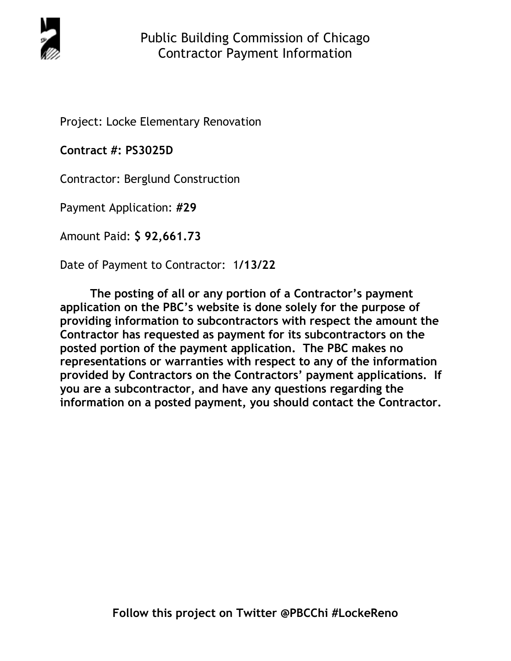

Project: Locke Elementary Renovation

**Contract #: PS3025D**

Contractor: Berglund Construction

Payment Application: **#29** 

Amount Paid: **\$ 92,661.73** 

Date of Payment to Contractor: 1**/13/22** 

**The posting of all or any portion of a Contractor's payment application on the PBC's website is done solely for the purpose of providing information to subcontractors with respect the amount the Contractor has requested as payment for its subcontractors on the posted portion of the payment application. The PBC makes no representations or warranties with respect to any of the information provided by Contractors on the Contractors' payment applications. If you are a subcontractor, and have any questions regarding the information on a posted payment, you should contact the Contractor.**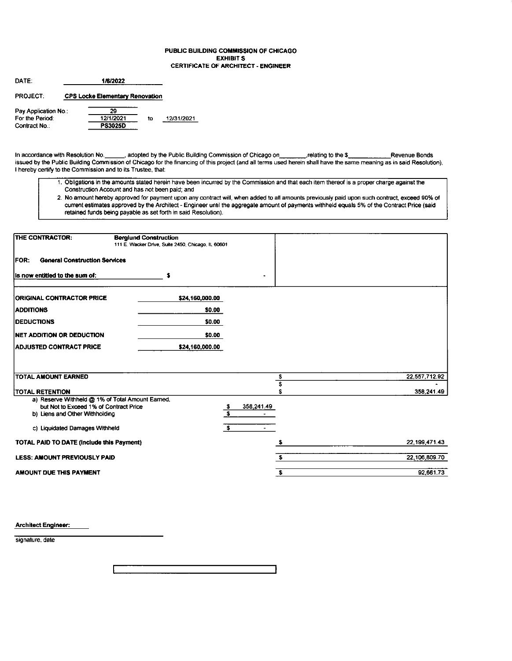#### PUBLIC BUILDING COMMISSION OF CHICAGO **EXHIBIT S CERTIFICATE OF ARCHITECT - ENGINEER**

| <b>DATF</b>          | 1/6/2022                               |    |            |
|----------------------|----------------------------------------|----|------------|
| <b>PROJECT:</b>      | <b>CPS Locke Elementary Renovation</b> |    |            |
| Pay Application No.: | 29                                     |    |            |
| For the Period:      | 12/1/2021                              | tο | 12/31/2021 |
| Contract No.:        | <b>PS3025D</b>                         |    |            |

In accordance with Resolution No. \_\_\_\_\_, adopted by the Public Building Commission of Chicago on \_\_\_\_\_\_\_\_, relating to the \$\_\_\_\_\_\_\_\_\_. Revenue Bonds issued by the Public Building Commission of Chicago for the financing of I hereby certify to the Commission and to its Trustee, that:

- 1. Obligations in the amounts stated herein have been incurred by the Commission and that each item thereof is a proper charge against the Construction Account and has not been paid; and
- 2. No amount hereby approved for payment upon any contract will, when added to all amounts previously paid upon such contract, exceed 90% of current estimates approved by the Architect - Engineer until the aggregate amount of payments withheld equals 5% of the Contract Price (said retained funds being payable as set forth in said Resolution).

| THE CONTRACTOR:                                                            | <b>Berglund Construction</b><br>111 E. Wacker Drive, Suite 2450, Chicago, IL 60601 |                         |               |
|----------------------------------------------------------------------------|------------------------------------------------------------------------------------|-------------------------|---------------|
| <b>General Construction Services</b><br>FOR:                               |                                                                                    |                         |               |
| Is now entitled to the sum of:                                             | s                                                                                  |                         |               |
| <b>ORIGINAL CONTRACTOR PRICE</b>                                           | \$24,160,000.00                                                                    |                         |               |
| <b>ADDITIONS</b>                                                           | \$0.00                                                                             |                         |               |
| <b>IDEDUCTIONS</b>                                                         | \$0.00                                                                             |                         |               |
| NET ADDITION OR DEDUCTION                                                  | \$0.00                                                                             |                         |               |
| ADJUSTED CONTRACT PRICE                                                    | \$24,160,000.00                                                                    |                         |               |
|                                                                            |                                                                                    |                         |               |
| <b>TOTAL AMOUNT EARNED</b>                                                 |                                                                                    | \$                      | 22,557,712.92 |
|                                                                            |                                                                                    | Ŝ                       |               |
| <b>TOTAL RETENTION</b><br>a) Reserve Withheld @ 1% of Total Amount Earned, |                                                                                    |                         | 358,241.49    |
| but Not to Exceed 1% of Contract Price                                     |                                                                                    | 358,241.49<br>- \$      |               |
| b) Liens and Other Withholding                                             |                                                                                    | s                       |               |
| c) Liquidated Damages Withheld                                             |                                                                                    | $\overline{\mathbf{s}}$ |               |
| <b>TOTAL PAID TO DATE (Include this Payment)</b>                           |                                                                                    | s                       | 22.199,471.43 |
| <b>LESS: AMOUNT PREVIOUSLY PAID</b>                                        |                                                                                    | £.                      | 22.106,809.70 |
| AMOUNT DUE THIS PAYMENT                                                    |                                                                                    | $\bullet$               | 92.661.73     |

**Architect Engineer:** 

signature, date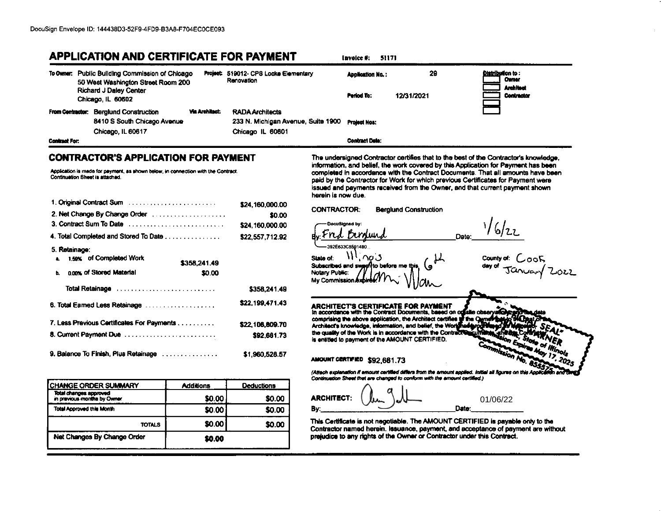## **APPLICATION AND CERTIFICATE FOR PAYMENT**

|               | To Owner: Public Bullding Commission of Chicago<br>50 West Washington Street Room 200      |                       | Project: 519012- CPS Locke Elementary<br>Renovation                                           | <b>Application No.:</b> | 29         | <b>Distribution to:</b><br><b>Cumer</b> |
|---------------|--------------------------------------------------------------------------------------------|-----------------------|-----------------------------------------------------------------------------------------------|-------------------------|------------|-----------------------------------------|
|               | <b>Richard J Daley Center</b><br>Chicago, IL 60602                                         |                       |                                                                                               | Period To:              | 12/31/2021 | <b>Architect</b><br>Contractor          |
|               | From Contractor: Berglund Construction<br>8410 S South Chicago Avenue<br>Chicago, IL 60617 | <b>Via Architect:</b> | <b>RADA Architects</b><br>233 N. Michigan Avenue, Suite 1900 Project Nos:<br>Chicago IL 60601 |                         |            | i                                       |
| Contract For: |                                                                                            |                       |                                                                                               | <b>Contract Date:</b>   |            |                                         |

## **CONTRACTOR'S APPLICATION FOR PAYMENT**

Application is made for payment, as shown below, in connection with the Contract. Continuation Sheet is attached.

| 1. Original Contract Sum                                                                                       | \$24.160.000.00 |
|----------------------------------------------------------------------------------------------------------------|-----------------|
| 2. Net Change By Change Order                                                                                  | \$0.00          |
| 3. Contract Sum To Date                                                                                        | \$24,160,000.00 |
| 4. Total Completed and Stored To Date                                                                          | \$22,557,712.92 |
| 5. Retainage:                                                                                                  |                 |
| 1.58% of Completed Work<br>$\bullet$                                                                           | \$358,241.49    |
| nons of Stored Material<br>ь.                                                                                  | \$0.00          |
| Total Retainage entertainment contains and research and research to the Total Property of Total Property and R | \$358,241.49    |
| 6. Total Earned Less Retainage                                                                                 | \$22,199,471.43 |
| 7. Less Previous Certificates For Payments                                                                     | \$22,106,609.70 |
| 8. Current Payment Due                                                                                         | \$92.661.73     |
| 9. Balance To Finish, Plus Retainage                                                                           | \$1,960,528.57  |

| CHANGE ORDER SUMMARY                                  | <b>Additions</b> | <b>Deductions</b> |
|-------------------------------------------------------|------------------|-------------------|
| Total changes approved<br>in previous months by Owner | \$0.00           | \$0.00            |
| <b>Total Approved this Month</b>                      | \$0.00           | \$0.00            |
| <b>TOTALS</b>                                         | \$0.00           | <b>SO.00</b>      |
| Net Changes By Change Order                           | \$0.00           |                   |

The undersigned Contractor certifies that to the best of the Contractor's knowledge, information, and belief, the work covered by this Application for Payment has been completed in accordance with the Contract Documents. That all amounts have been paid by the Contractor for Work for which previous Certificates for Payment were issued and payments received from the Owner, and that current payment shown herein is now due.

16/22

مملك

**CONTRACTOR: Berglund Construction** DocuSianed by: Date: 392563308591480 County of: Cook State of:  $\sim$  3 Subscribed and swa filto before me Notary Public: My Commission.

**ARCHITECT'S CERTIFICATE FOR PAYMENT** In accordance with the Contract Documents, based on on site observe comprising the above application, the Architect certifies to the Qurn Architect's knowledge, information, and belief, the Worldha the quality of the Work is in accordance with the Contract is entitled to payment of the AMOUNT CERTIFIED.

AMOUNT CERTIFIED \$92,661.73

Invoice #: 51171

(Attach explanation if amount certified differs from the amount applied. Initial all figures on th Continuation Sheet that are changed to conform with the amount certified.)

**ARCHITECT:** 01/06/22 Date: By:

This Certificate is not negotiable. The AMOUNT CERTIFIED is payable only to the Contractor named herein. Issuance, payment, and acceptance of payment are without prejudice to any rights of the Owner or Contractor under this Contract.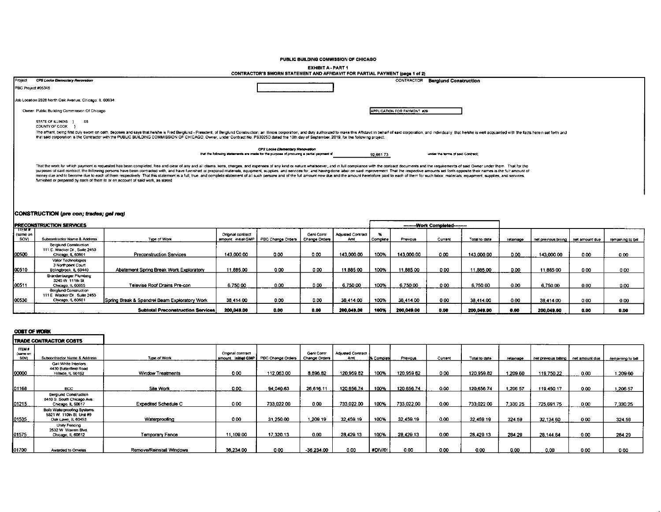#### PUBLIC BUILDING COMMISSION OF CHICAGO

## EXHIBIT A - PART 1<br>CONTRACTOR'S SWORN STATEMENT AND AFFIDAVIT FOR PARTIAL PAYMENT (page 1 of 2)

| Project            | CPS Locke Elementary Revovation                                                                                                                                                                                                                                                                                                                                                                                                                                                                                                                                                                                                                                                                                                                                                      |                                                                                          | CONTRACTOR                  | <b>Berglund Construction</b>      |
|--------------------|--------------------------------------------------------------------------------------------------------------------------------------------------------------------------------------------------------------------------------------------------------------------------------------------------------------------------------------------------------------------------------------------------------------------------------------------------------------------------------------------------------------------------------------------------------------------------------------------------------------------------------------------------------------------------------------------------------------------------------------------------------------------------------------|------------------------------------------------------------------------------------------|-----------------------------|-----------------------------------|
| PBC Project #05345 |                                                                                                                                                                                                                                                                                                                                                                                                                                                                                                                                                                                                                                                                                                                                                                                      |                                                                                          |                             |                                   |
|                    | Job Location 2828 North Oak Avenue, Chicago, IL 60634                                                                                                                                                                                                                                                                                                                                                                                                                                                                                                                                                                                                                                                                                                                                |                                                                                          |                             |                                   |
|                    | Owner Public Building Commission Of Chicago                                                                                                                                                                                                                                                                                                                                                                                                                                                                                                                                                                                                                                                                                                                                          |                                                                                          | APPLICATION FOR PAYMENT #29 |                                   |
|                    | STATE OF ILLINOIS 1<br>- SS<br>COUNTY OF COOK                                                                                                                                                                                                                                                                                                                                                                                                                                                                                                                                                                                                                                                                                                                                        |                                                                                          |                             |                                   |
|                    | The affiant, being first duly swom on oath, deposes and says that he/she is Fred Berglund - President, of Berglund Construction, an illinors corporation, and duly authorized to make this Affidavit in behalf of said corpora<br>that said corporation is the Contractor with the PUBLIC BUILDING COMMISSION OF CHICAGO. Owner, under Contract No. PS3025D dated the 10th day of September, 2019, for the following project:                                                                                                                                                                                                                                                                                                                                                        |                                                                                          |                             |                                   |
|                    |                                                                                                                                                                                                                                                                                                                                                                                                                                                                                                                                                                                                                                                                                                                                                                                      | CPS Locke Elementary Renovation                                                          |                             | under the terms of said Contract: |
|                    |                                                                                                                                                                                                                                                                                                                                                                                                                                                                                                                                                                                                                                                                                                                                                                                      | that the following statements are made for the purpose of procuring a partial payment of | 92,66173                    |                                   |
|                    | That the work for which payment is requested has been completed, free and clear of any and all claims, liens, charges, and expenses of any kind or nature whatsoever, and in full compliance with the contract documents and t<br>purposes of said contract, the following persons have been contracted with, and have furnished or prepared materials, equipment, supplies, and services for, and having done labor on said improvement. That the respective am<br>money due and to become due to each of them respectively. That this statement is a full, true, and complete statement of all such persons and of the full amount now due and the emount heretofore paid to each of them for su<br>furnished or prepared by each of them to or on account of said work, as stated |                                                                                          |                             |                                   |

## CONSTRUCTION (pre con; trades; gel req)

|                           | <b>PRECONSTRUCTION SERVICES</b>                                                    |                                               |                                          |                   |                             |                                 |          | ---------Work Completed-------- |         |               |          |                                       |      |                   |
|---------------------------|------------------------------------------------------------------------------------|-----------------------------------------------|------------------------------------------|-------------------|-----------------------------|---------------------------------|----------|---------------------------------|---------|---------------|----------|---------------------------------------|------|-------------------|
| ⊤π⊑м∓<br>(same on<br>SOV) | Subcontractor Name & Address                                                       | Type of Work                                  | Original contract<br>amount: initial GMP | PBC Change Orders | Geni Contr<br>Change Orders | <b>Adjusted Contract</b><br>Amt | Complete | Previous                        | Current | Total to date | retamace | net previous billing   net amount due |      | remaining to bill |
| 00500                     | <b>Berglund Construction</b><br>111 E. Wacker Dr., Suite 2450<br>Chicago, IL 60601 | <b>Preconstruction Services</b>               | 143.000.00                               | 0.00              | 0.00                        | 143.000.00                      | 100%     | 143,000.00                      | 0.00    | 143,000.00    | 0.00     | 143.000.00                            | 0.00 | 0.00              |
| 00510                     | Valor Technologies<br>3 Northpoint Court<br>Bolingbrook, IL 60440                  | Abatement Spring Break Work Exploratory       | 11,885.00                                | 0.00              | 0.00                        | 11,885.00                       | 100%     | 11,885.00                       | 0.00    | 11.885.00     | 0.00     | 1188500                               | 0.00 | 0.00              |
| 00511                     | <b>Brandenburger Plumbing</b><br>3245 W 111th St<br>Chicago, IL 60655              | Televise Roof Drains Pre-con                  | 6,750.00                                 | 0.00              | 0.00                        | 6.750.00                        | 100%     | 6.750.00                        | 000     | 6.750.00      | 0.00     | 6.750.00                              | 0.00 | 0.00              |
| 100530                    | Berglund Construction<br>111 E Wacker Dr. Suite 2450<br>Chicago, IL 60601          | Spring Break & Spandrel Beam Exploratory Work | 38.414.00                                | 0.00              | 0.00                        | 38.414.00                       | 100%     | 38.414.00                       | 0.00    | 38.414.00     | 0.00     | 38.414.00                             | 0.00 | 0.00              |
|                           |                                                                                    | <b>Subtotal Preconstruction Services</b>      | 200.049.00                               | 0.00              | 0.00                        | 200,049.00                      | 100%     | 200,049.00                      | 0.00    | 200.049.00    | 0.00     | 200.049.00                            | 0.00 | 0.00              |

#### **COST OF WORK**

|                                  | <b>TRADE CONTRACTOR COSTS</b>                                                   |                             |                                        |                   |                                    |                                |            |            |         |               |          |                                     |      |                   |
|----------------------------------|---------------------------------------------------------------------------------|-----------------------------|----------------------------------------|-------------------|------------------------------------|--------------------------------|------------|------------|---------|---------------|----------|-------------------------------------|------|-------------------|
| <b>ITEM 6</b><br>(same on<br>sow | Subcontractor Name & Address                                                    | Type of Work                | Ongenal contract<br>amount initial GMP | PBC Change Orders | Gent Contr<br><b>Change Orders</b> | <b>Adjusted Contract</b><br>Am | N Complete | Previous   | Current | ⊺otal to date | retamace | net previous billing net amount due |      | remaining to bill |
| 00000                            | Gail White Interiors<br>4430 Butterfield Road<br>Hillside, IL 60162             | Window Treatments           | 0.00                                   | 112.063.00        | 8,896.62                           | 120,959.82                     | 100%       | 120,959 82 | 0.00    | 120,959.82    | 1,209.60 | 119,750.22                          | 0.00 | .209.60           |
| 01168                            | <b>BCC</b>                                                                      | Site Work                   | 0.00                                   | 94,040.63         | 26,616.11                          | 120,656.74                     | 100%       | 120,656.74 | 0.00    | 120.655.74    | 1,206.57 | 119.450.17                          | 0.00 | 1,206.57          |
| 01215                            | <b>Bergiund Construction</b><br>8410 S. South Chicago Ave.<br>Chicago, IL 60617 | <b>Expedited Schedule C</b> | 0.00                                   | 733.022.00        | 0.00                               | 733.022.00                     | 100%       | 733,022.00 | 0.00    | 733,022.00    | 7,330.25 | 725.691.75                          | 0.00 | 7.330.25          |
| 01535                            | Boto Waterproofing Systems<br>5521 W. 110th St. Unit #9<br>Oak Lawn, IL 60453   | Waterproofing               | 0.00                                   | 31,250.00         | 1.209.19                           | 32 459 19                      | 100%       | 32,459.19  | 0.00    | 32 459 19     | 324.59   | 32.134.60                           | 0.00 | 324.59            |
| 01575                            | Unity Fencing<br>2532 W Warren Blvd.<br>Chicago, IL 60612                       | Temporary Fence             | 11.109.00                              | 17.320.13         | 0.00                               | 28.429.13                      | 100%       | 28.429.13  | 0.00    | 28 429 13     | 284.29   | 28 144 84                           | 0.00 | 284.29            |
| 101700                           | Awarded to Ornelas                                                              | Remove/Reinstall Windows    | 36.234.00                              | 0.00              | 36.234.00                          | 0.00                           | #DIV/0!    | 0.00       | 0.00    | 0.00          | 0.00     | 0.00                                | 0.00 | 0.00              |